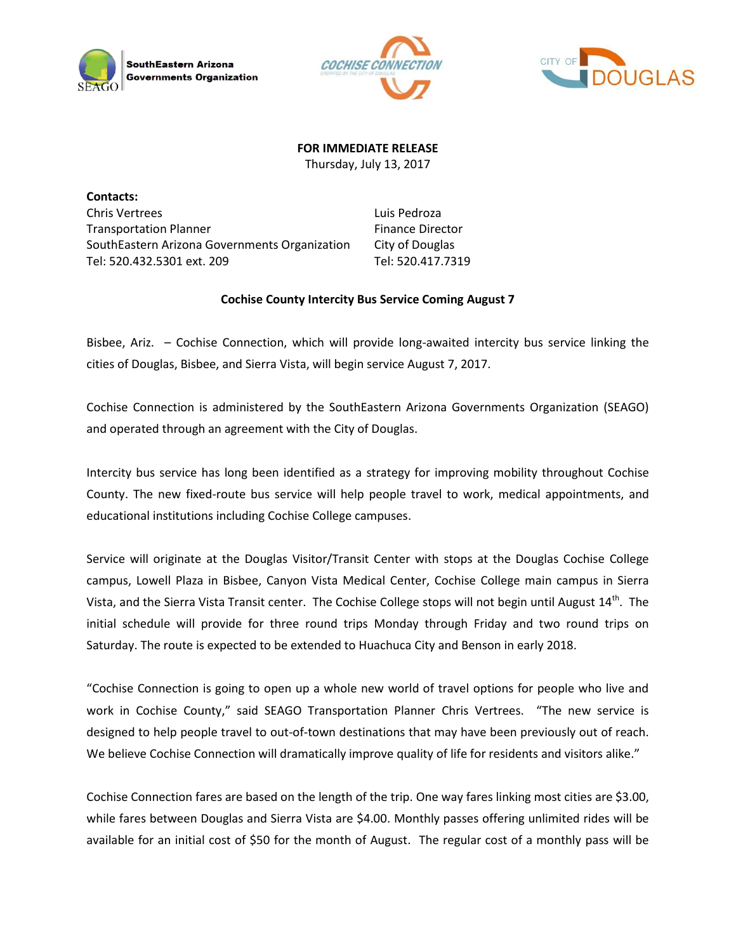





## **FOR IMMEDIATE RELEASE**

Thursday, July 13, 2017

**Contacts:** Chris Vertrees Transportation Planner SouthEastern Arizona Governments Organization Tel: 520.432.5301 ext. 209

Luis Pedroza Finance Director City of Douglas Tel: 520.417.7319

## **Cochise County Intercity Bus Service Coming August 7**

Bisbee, Ariz. – Cochise Connection, which will provide long-awaited intercity bus service linking the cities of Douglas, Bisbee, and Sierra Vista, will begin service August 7, 2017.

Cochise Connection is administered by the SouthEastern Arizona Governments Organization (SEAGO) and operated through an agreement with the City of Douglas.

Intercity bus service has long been identified as a strategy for improving mobility throughout Cochise County. The new fixed-route bus service will help people travel to work, medical appointments, and educational institutions including Cochise College campuses.

Service will originate at the Douglas Visitor/Transit Center with stops at the Douglas Cochise College campus, Lowell Plaza in Bisbee, Canyon Vista Medical Center, Cochise College main campus in Sierra Vista, and the Sierra Vista Transit center. The Cochise College stops will not begin until August 14<sup>th</sup>. The initial schedule will provide for three round trips Monday through Friday and two round trips on Saturday. The route is expected to be extended to Huachuca City and Benson in early 2018.

"Cochise Connection is going to open up a whole new world of travel options for people who live and work in Cochise County," said SEAGO Transportation Planner Chris Vertrees. "The new service is designed to help people travel to out-of-town destinations that may have been previously out of reach. We believe Cochise Connection will dramatically improve quality of life for residents and visitors alike."

Cochise Connection fares are based on the length of the trip. One way fares linking most cities are \$3.00, while fares between Douglas and Sierra Vista are \$4.00. Monthly passes offering unlimited rides will be available for an initial cost of \$50 for the month of August. The regular cost of a monthly pass will be